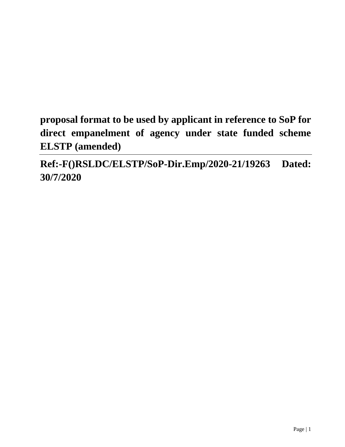**proposal format to be used by applicant in reference to SoP for direct empanelment of agency under state funded scheme ELSTP (amended)** 

**Ref:-F()RSLDC/ELSTP/SoP-Dir.Emp/2020-21/19263 Dated: 30/7/2020**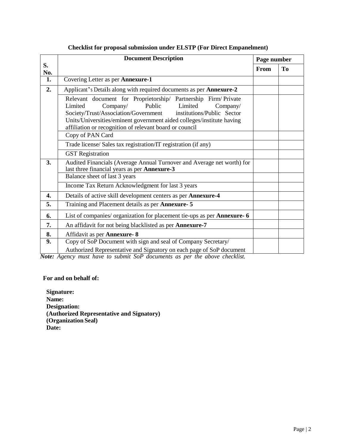|                  | <b>Document Description</b>                                                                                                                                                                                                                                                                                                                       | Page number |                |
|------------------|---------------------------------------------------------------------------------------------------------------------------------------------------------------------------------------------------------------------------------------------------------------------------------------------------------------------------------------------------|-------------|----------------|
| S.<br>No.        |                                                                                                                                                                                                                                                                                                                                                   | From        | T <sub>0</sub> |
| 1.               | Covering Letter as per Annexure-1                                                                                                                                                                                                                                                                                                                 |             |                |
| 2.               | Applicant's Details along with required documents as per Annexure-2                                                                                                                                                                                                                                                                               |             |                |
|                  | Relevant document for Proprietorship/ Partnership Firm/Private<br>Limited<br>Limited<br>Company/<br>Public<br>Company/<br>Society/Trust/Association/Government institutions/Public Sector<br>Units/Universities/eminent government aided colleges/institute having<br>affiliation or recognition of relevant board or council<br>Copy of PAN Card |             |                |
|                  | Trade license/ Sales tax registration/IT registration (if any)                                                                                                                                                                                                                                                                                    |             |                |
|                  | <b>GST</b> Registration                                                                                                                                                                                                                                                                                                                           |             |                |
| 3.               | Audited Financials (Average Annual Turnover and Average net worth) for<br>last three financial years as per Annexure-3                                                                                                                                                                                                                            |             |                |
|                  | Balance sheet of last 3 years                                                                                                                                                                                                                                                                                                                     |             |                |
|                  | Income Tax Return Acknowledgment for last 3 years                                                                                                                                                                                                                                                                                                 |             |                |
| 4.               | Details of active skill development centers as per Annexure-4                                                                                                                                                                                                                                                                                     |             |                |
| 5.               | Training and Placement details as per Annexure- 5                                                                                                                                                                                                                                                                                                 |             |                |
| 6.               | List of companies/ organization for placement tie-ups as per Annexure- 6                                                                                                                                                                                                                                                                          |             |                |
| 7.               | An affidavit for not being blacklisted as per Annexure-7                                                                                                                                                                                                                                                                                          |             |                |
| 8.               | Affidavit as per Annexure-8                                                                                                                                                                                                                                                                                                                       |             |                |
| $\overline{9}$ . | Copy of SoP Document with sign and seal of Company Secretary/<br>Authorized Representative and Signatory on each page of SoP document                                                                                                                                                                                                             |             |                |

# **Checklist for proposal submission under ELSTP (For Direct Empanelment)**

*Note: Agency must have to submit SoP documents as per the above checklist.*

## **For and on behalf of:**

**Signature: Name: Designation: (Authorized Representative and Signatory) (Organization Seal) Date:**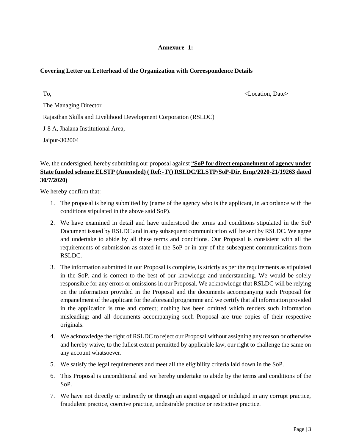## **Annexure -1:**

## **Covering Letter on Letterhead of the Organization with Correspondence Details**

To, the contract of the contract of the contract of the contract of the contract of the contract of the contract of the contract of the contract of the contract of the contract of the contract of the contract of the contra The Managing Director Rajasthan Skills and Livelihood Development Corporation (RSLDC) J-8 A, Jhalana Institutional Area,

Jaipur-302004

# We, the undersigned, hereby submitting our proposal against "**SoP for direct empanelment of agency under State funded scheme ELSTP (Amended) ( Ref:- F() RSLDC/ELSTP/SoP-Dir. Emp/2020-21/19263 dated 30/7/2020)**

We hereby confirm that:

- 1. The proposal is being submitted by (name of the agency who is the applicant, in accordance with the conditions stipulated in the above said SoP).
- 2. We have examined in detail and have understood the terms and conditions stipulated in the SoP Document issued by RSLDC and in any subsequent communication will be sent by RSLDC. We agree and undertake to abide by all these terms and conditions. Our Proposal is consistent with all the requirements of submission as stated in the SoP or in any of the subsequent communications from RSLDC.
- 3. The information submitted in our Proposal is complete, is strictly as per the requirements as stipulated in the SoP, and is correct to the best of our knowledge and understanding. We would be solely responsible for any errors or omissions in our Proposal. We acknowledge that RSLDC will be relying on the information provided in the Proposal and the documents accompanying such Proposal for empanelment of the applicant for the aforesaid programme and we certify that all information provided in the application is true and correct; nothing has been omitted which renders such information misleading; and all documents accompanying such Proposal are true copies of their respective originals.
- 4. We acknowledge the right of RSLDC to reject our Proposal without assigning any reason or otherwise and hereby waive, to the fullest extent permitted by applicable law, our right to challenge the same on any account whatsoever.
- 5. We satisfy the legal requirements and meet all the eligibility criteria laid down in the SoP.
- 6. This Proposal is unconditional and we hereby undertake to abide by the terms and conditions of the SoP.
- 7. We have not directly or indirectly or through an agent engaged or indulged in any corrupt practice, fraudulent practice, coercive practice, undesirable practice or restrictive practice.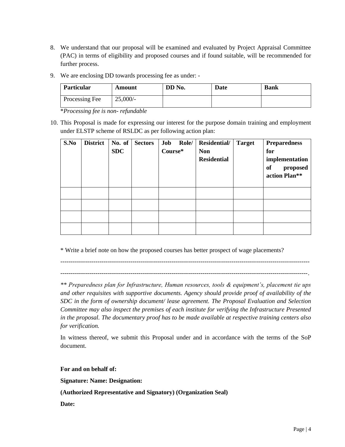- 8. We understand that our proposal will be examined and evaluated by Project Appraisal Committee (PAC) in terms of eligibility and proposed courses and if found suitable, will be recommended for further process.
- 9. We are enclosing DD towards processing fee as under: -

| Particular     | Amount      | DD No. | <b>Date</b> | <b>Bank</b> |
|----------------|-------------|--------|-------------|-------------|
| Processing Fee | $25,000/$ - |        |             |             |

\**Processing fee is non- refundable*

10. This Proposal is made for expressing our interest for the purpose domain training and employment under ELSTP scheme of RSLDC as per following action plan:

| S.No | <b>District</b> | No. of<br><b>SDC</b> | <b>Sectors</b> | Job<br>Role/<br>Course* | <b>Residential/</b><br><b>Non</b><br><b>Residential</b> | <b>Target</b> | <b>Preparedness</b><br>for<br>implementation<br>of<br>proposed<br>action Plan** |
|------|-----------------|----------------------|----------------|-------------------------|---------------------------------------------------------|---------------|---------------------------------------------------------------------------------|
|      |                 |                      |                |                         |                                                         |               |                                                                                 |
|      |                 |                      |                |                         |                                                         |               |                                                                                 |
|      |                 |                      |                |                         |                                                         |               |                                                                                 |
|      |                 |                      |                |                         |                                                         |               |                                                                                 |

\* Write a brief note on how the proposed courses has better prospect of wage placements?

-------------------------------------------------------------------------------------------------------------------------

------------------------------------------------------------------------------------------------------------------------.

*\*\* Preparedness plan for Infrastructure, Human resources, tools & equipment's, placement tie ups and other requisites with supportive documents. Agency should provide proof of availability of the SDC in the form of ownership document/ lease agreement. The Proposal Evaluation and Selection Committee may also inspect the premises of each institute for verifying the Infrastructure Presented in the proposal. The documentary proof has to be made available at respective training centers also for verification.*

In witness thereof, we submit this Proposal under and in accordance with the terms of the SoP document.

**For and on behalf of:**

**Signature: Name: Designation:**

**(Authorized Representative and Signatory) (Organization Seal)**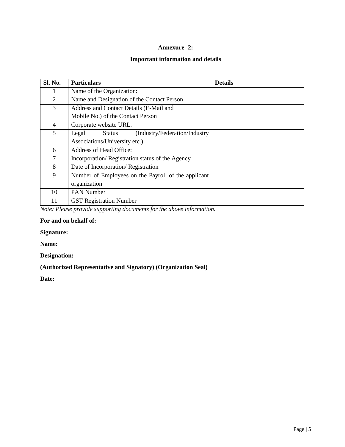## **Annexure -2:**

# **Important information and details**

| Sl. No. | <b>Particulars</b>                                       | <b>Details</b> |
|---------|----------------------------------------------------------|----------------|
|         | Name of the Organization:                                |                |
| 2       | Name and Designation of the Contact Person               |                |
| 3       | Address and Contact Details (E-Mail and                  |                |
|         | Mobile No.) of the Contact Person                        |                |
| 4       | Corporate website URL.                                   |                |
| 5       | (Industry/Federation/Industry)<br>Legal<br><b>Status</b> |                |
|         | Associations/University etc.)                            |                |
| 6       | Address of Head Office:                                  |                |
| 7       | Incorporation/Registration status of the Agency          |                |
| 8       | Date of Incorporation/Registration                       |                |
| 9       | Number of Employees on the Payroll of the applicant      |                |
|         | organization                                             |                |
| 10      | PAN Number                                               |                |
| 11      | <b>GST Registration Number</b>                           |                |

*Note: Please provide supporting documents for the above information.* 

## **For and on behalf of:**

## **Signature:**

**Name:** 

# **Designation:**

## **(Authorized Representative and Signatory) (Organization Seal)**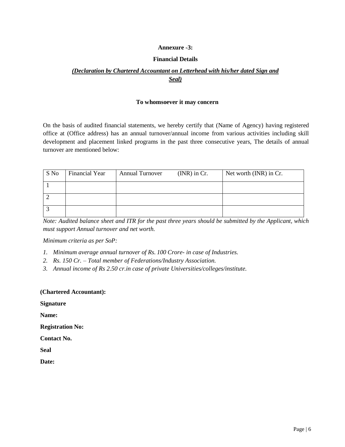## **Annexure -3:**

## **Financial Details**

# *(Declaration by Chartered Accountant on Letterhead with his/her dated Sign and Seal)*

#### **To whomsoever it may concern**

On the basis of audited financial statements, we hereby certify that (Name of Agency) having registered office at (Office address) has an annual turnover/annual income from various activities including skill development and placement linked programs in the past three consecutive years, The details of annual turnover are mentioned below:

| S No | Financial Year | <b>Annual Turnover</b> | $(NR)$ in Cr. | Net worth (INR) in Cr. |
|------|----------------|------------------------|---------------|------------------------|
|      |                |                        |               |                        |
|      |                |                        |               |                        |
|      |                |                        |               |                        |

*Note: Audited balance sheet and ITR for the past three years should be submitted by the Applicant, which must support Annual turnover and net worth.*

*Minimum criteria as per SoP:*

- *1. Minimum average annual turnover of Rs. 100 Crore- in case of Industries.*
- *2. Rs. 150 Cr. – Total member of Federations/Industry Association.*
- *3. Annual income of Rs 2.50 cr.in case of private Universities/colleges/institute.*

**(Chartered Accountant):** 

**Signature**

**Name:**

**Registration No:** 

**Contact No.** 

**Seal**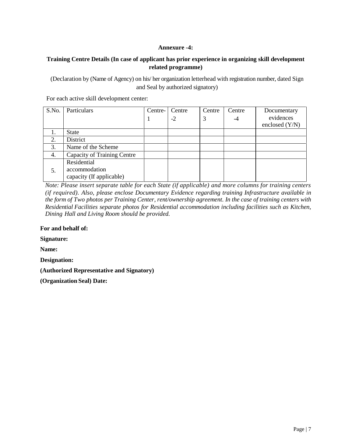## **Annexure -4:**

## **Training Centre Details (In case of applicant has prior experience in organizing skill development related programme)**

(Declaration by (Name of Agency) on his/ her organization letterhead with registration number, dated Sign and Seal by authorized signatory)

For each active skill development center:

| S.No. | Particulars                        | Centre- | Centre | Centre | Centre | Documentary      |
|-------|------------------------------------|---------|--------|--------|--------|------------------|
|       |                                    |         | $-2$   | 3      | -4     | evidences        |
|       |                                    |         |        |        |        | enclosed $(Y/N)$ |
| 1.    | <b>State</b>                       |         |        |        |        |                  |
| 2.    | District                           |         |        |        |        |                  |
| 3.    | Name of the Scheme                 |         |        |        |        |                  |
| 4.    | <b>Capacity of Training Centre</b> |         |        |        |        |                  |
|       | Residential                        |         |        |        |        |                  |
| 5.    | accommodation                      |         |        |        |        |                  |
|       | capacity (If applicable)           |         |        |        |        |                  |

*Note: Please insert separate table for each State (if applicable) and more columns for training centers (if required). Also, please enclose Documentary Evidence regarding training Infrastructure available in the form of Two photos per Training Center, rent/ownership agreement. In the case of training centers with Residential Facilities separate photos for Residential accommodation including facilities such as Kitchen, Dining Hall and Living Room should be provided.*

**For and behalf of:** 

**Signature:**

**Name:** 

**Designation:**

**(Authorized Representative and Signatory)**

**(Organization Seal) Date:**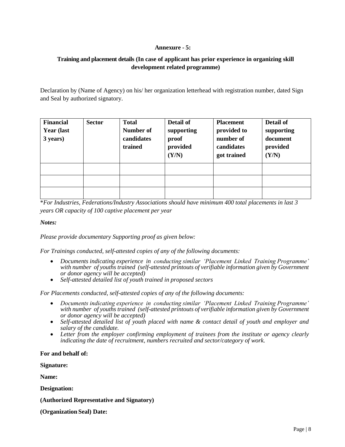## **Annexure - 5:**

# **Training and placement details (In case of applicant has prior experience in organizing skill development related programme)**

Declaration by (Name of Agency) on his/ her organization letterhead with registration number, dated Sign and Seal by authorized signatory.

| <b>Financial</b><br><b>Year (last)</b><br>3 years) | <b>Sector</b> | <b>Total</b><br>Number of<br>candidates<br>trained | Detail of<br>supporting<br>proof<br>provided<br>(Y/N) | <b>Placement</b><br>provided to<br>number of<br>candidates<br>got trained | Detail of<br>supporting<br>document<br>provided<br>(Y/N) |
|----------------------------------------------------|---------------|----------------------------------------------------|-------------------------------------------------------|---------------------------------------------------------------------------|----------------------------------------------------------|
|                                                    |               |                                                    |                                                       |                                                                           |                                                          |
|                                                    |               |                                                    |                                                       |                                                                           |                                                          |
|                                                    |               |                                                    |                                                       |                                                                           |                                                          |

\**For Industries, Federations/Industry Associations should have minimum 400 total placements in last 3 years OR capacity of 100 captive placement per year*

*Notes:*

*Please provide documentary Supporting proof as given below:*

*For Trainings conducted, self-attested copies of any of the following documents:*

- *Documents indicating experience in conducting similar 'Placement Linked Training Programme' with number of youths trained (self-attested printouts of verifiable information given by Government or donor agency will be accepted)*
- *Self-attested detailed list of youth trained in proposed sectors*

*For Placements conducted, self-attested copies of any of the following documents:*

- *Documents indicating experience in conducting similar 'Placement Linked Training Programme' with number of youths trained (self-attested printouts of verifiable information given by Government or donor agency will be accepted)*
- *Self-attested detailed list of youth placed with name & contact detail of youth and employer and salary of the candidate.*
- *Letter from the employer confirming employment of trainees from the institute or agency clearly indicating the date of recruitment, numbers recruited and sector/category of work.*

#### **For and behalf of:**

**Signature:**

**Name:** 

**Designation:**

**(Authorized Representative and Signatory)**

**(Organization Seal) Date:**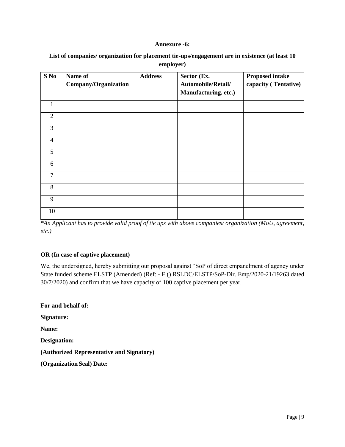#### **Annexure -6:**

| List of companies/ organization for placement tie-ups/engagement are in existence (at least 10 |
|------------------------------------------------------------------------------------------------|
| employer)                                                                                      |

| $S$ No         | Name of<br><b>Company/Organization</b> | <b>Address</b> | Sector (Ex.<br>Automobile/Retail/<br>Manufacturing, etc.) | <b>Proposed intake</b><br>capacity (Tentative) |
|----------------|----------------------------------------|----------------|-----------------------------------------------------------|------------------------------------------------|
| 1              |                                        |                |                                                           |                                                |
| $\overline{2}$ |                                        |                |                                                           |                                                |
| 3              |                                        |                |                                                           |                                                |
| $\overline{4}$ |                                        |                |                                                           |                                                |
| 5              |                                        |                |                                                           |                                                |
| 6              |                                        |                |                                                           |                                                |
| 7              |                                        |                |                                                           |                                                |
| 8              |                                        |                |                                                           |                                                |
| 9              |                                        |                |                                                           |                                                |
| 10             |                                        |                |                                                           |                                                |

*\*An Applicant has to provide valid proof of tie ups with above companies/ organization (MoU, agreement, etc.)* 

## **OR (In case of captive placement)**

We, the undersigned, hereby submitting our proposal against "SoP of direct empanelment of agency under State funded scheme ELSTP (Amended) (Ref: - F () RSLDC/ELSTP/SoP-Dir. Emp/2020-21/19263 dated 30/7/2020) and confirm that we have capacity of 100 captive placement per year.

**For and behalf of: Signature: Name: Designation: (Authorized Representative and Signatory) (Organization Seal) Date:**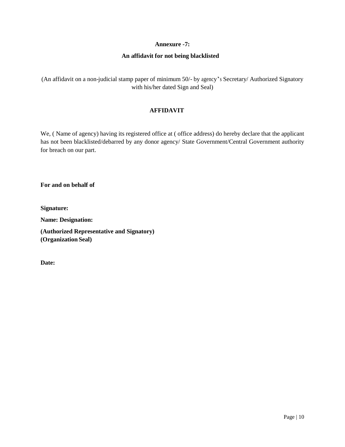## **Annexure -7:**

## **An affidavit for not being blacklisted**

(An affidavit on a non-judicial stamp paper of minimum 50/- by agency's Secretary/ Authorized Signatory with his/her dated Sign and Seal)

## **AFFIDAVIT**

We, ( Name of agency) having its registered office at ( office address) do hereby declare that the applicant has not been blacklisted/debarred by any donor agency/ State Government/Central Government authority for breach on our part.

**For and on behalf of** 

**Signature:**

**Name: Designation:**

**(Authorized Representative and Signatory) (Organization Seal)**